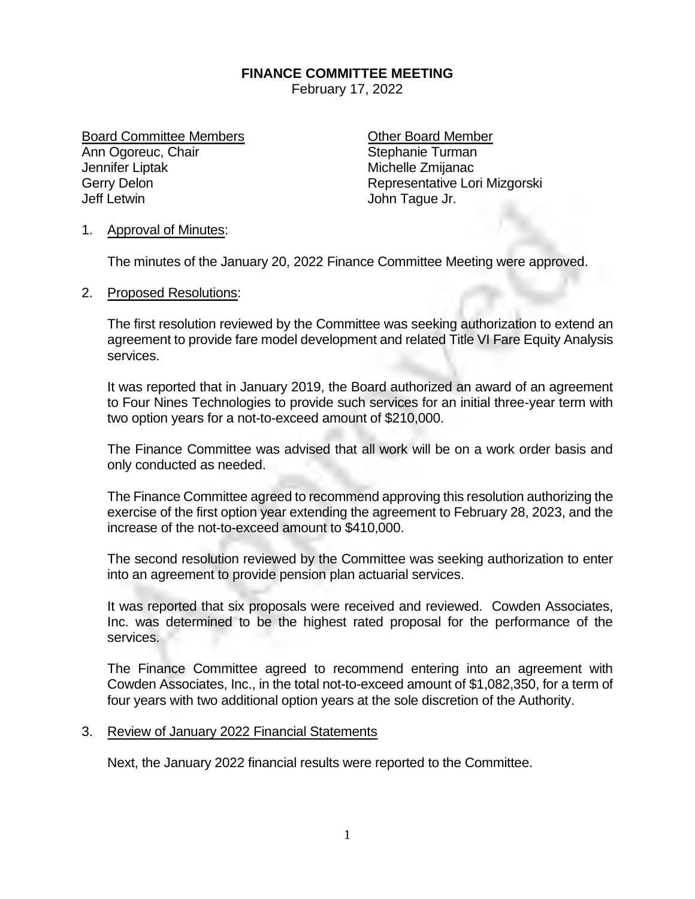## **FINANCE COMMITTEE MEETING**

February 17, 2022

Board Committee Members **Committee Member** Ann Ogoreuc, Chair Stephanie Turman Jennifer Liptak Michelle Zmijanac Jeff Letwin John Tague Jr.

Gerry Delon **Representative Lori Mizgorski** 

## 1. Approval of Minutes:

The minutes of the January 20, 2022 Finance Committee Meeting were approved.

2. Proposed Resolutions:

The first resolution reviewed by the Committee was seeking authorization to extend an agreement to provide fare model development and related Title VI Fare Equity Analysis services.

It was reported that in January 2019, the Board authorized an award of an agreement to Four Nines Technologies to provide such services for an initial three-year term with two option years for a not-to-exceed amount of \$210,000.

The Finance Committee was advised that all work will be on a work order basis and only conducted as needed.

The Finance Committee agreed to recommend approving this resolution authorizing the exercise of the first option year extending the agreement to February 28, 2023, and the increase of the not-to-exceed amount to \$410,000.

The second resolution reviewed by the Committee was seeking authorization to enter into an agreement to provide pension plan actuarial services.

It was reported that six proposals were received and reviewed. Cowden Associates, Inc. was determined to be the highest rated proposal for the performance of the services.

The Finance Committee agreed to recommend entering into an agreement with Cowden Associates, Inc., in the total not-to-exceed amount of \$1,082,350, for a term of four years with two additional option years at the sole discretion of the Authority.

## 3. Review of January 2022 Financial Statements

Next, the January 2022 financial results were reported to the Committee.